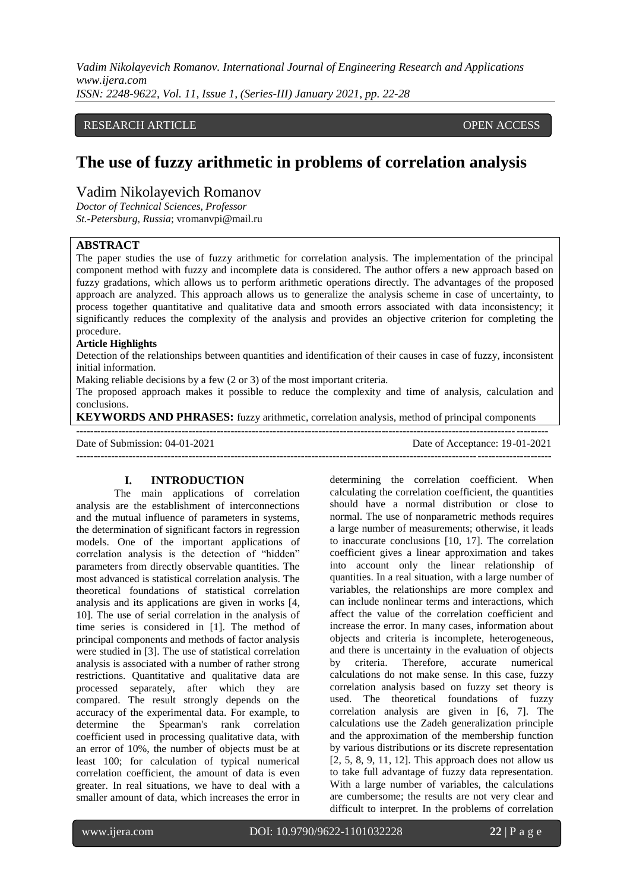*Vadim Nikolayevich Romanov. International Journal of Engineering Research and Applications www.ijera.com ISSN: 2248-9622, Vol. 11, Issue 1, (Series-III) January 2021, pp. 22-28*

# RESEARCH ARTICLE **OPEN ACCESS**

# **The use of fuzzy arithmetic in problems of correlation analysis**

# Vadim Nikolayevich Romanov

*Doctor of Technical Sciences, Professor St.-Petersburg, Russia*; vromanvpi@mail.ru

# **ABSTRACT**

The paper studies the use of fuzzy arithmetic for correlation analysis. The implementation of the principal component method with fuzzy and incomplete data is considered. The author offers a new approach based on fuzzy gradations, which allows us to perform arithmetic operations directly. The advantages of the proposed approach are analyzed. This approach allows us to generalize the analysis scheme in case of uncertainty, to process together quantitative and qualitative data and smooth errors associated with data inconsistency; it significantly reduces the complexity of the analysis and provides an objective criterion for completing the procedure.

#### **Article Highlights**

Detection of the relationships between quantities and identification of their causes in case of fuzzy, inconsistent initial information.

Making reliable decisions by a few (2 or 3) of the most important criteria.

The proposed approach makes it possible to reduce the complexity and time of analysis, calculation and conclusions.

**KEYWORDS AND PHRASES:** fuzzy arithmetic, correlation analysis, method of principal components

-------------------------------------------------------------------------------------------------------------------------------------- Date of Submission: 04-01-2021 Date of Acceptance: 19-01-2021 ---------------------------------------------------------------------------------------------------------------------------------------

# **I. INTRODUCTION**

The main applications of correlation analysis are the establishment of interconnections and the mutual influence of parameters in systems, the determination of significant factors in regression models. One of the important applications of correlation analysis is the detection of "hidden" parameters from directly observable quantities. The most advanced is statistical correlation analysis. The theoretical foundations of statistical correlation analysis and its applications are given in works [4, 10]. The use of serial correlation in the analysis of time series is considered in [1]. The method of principal components and methods of factor analysis were studied in [3]. The use of statistical correlation analysis is associated with a number of rather strong restrictions. Quantitative and qualitative data are processed separately, after which they are compared. The result strongly depends on the accuracy of the experimental data. For example, to determine the Spearman's rank correlation coefficient used in processing qualitative data, with an error of 10%, the number of objects must be at least 100; for calculation of typical numerical correlation coefficient, the amount of data is even greater. In real situations, we have to deal with a smaller amount of data, which increases the error in determining the correlation coefficient. When calculating the correlation coefficient, the quantities should have a normal distribution or close to normal. The use of nonparametric methods requires a large number of measurements; otherwise, it leads to inaccurate conclusions [10, 17]. The correlation coefficient gives a linear approximation and takes into account only the linear relationship of quantities. In a real situation, with a large number of variables, the relationships are more complex and can include nonlinear terms and interactions, which affect the value of the correlation coefficient and increase the error. In many cases, information about objects and criteria is incomplete, heterogeneous, and there is uncertainty in the evaluation of objects by criteria. Therefore, accurate numerical calculations do not make sense. In this case, fuzzy correlation analysis based on fuzzy set theory is used. The theoretical foundations of fuzzy correlation analysis are given in [6, 7]. The calculations use the Zadeh generalization principle and the approximation of the membership function by various distributions or its discrete representation [2, 5, 8, 9, 11, 12]. This approach does not allow us to take full advantage of fuzzy data representation. With a large number of variables, the calculations are cumbersome; the results are not very clear and difficult to interpret. In the problems of correlation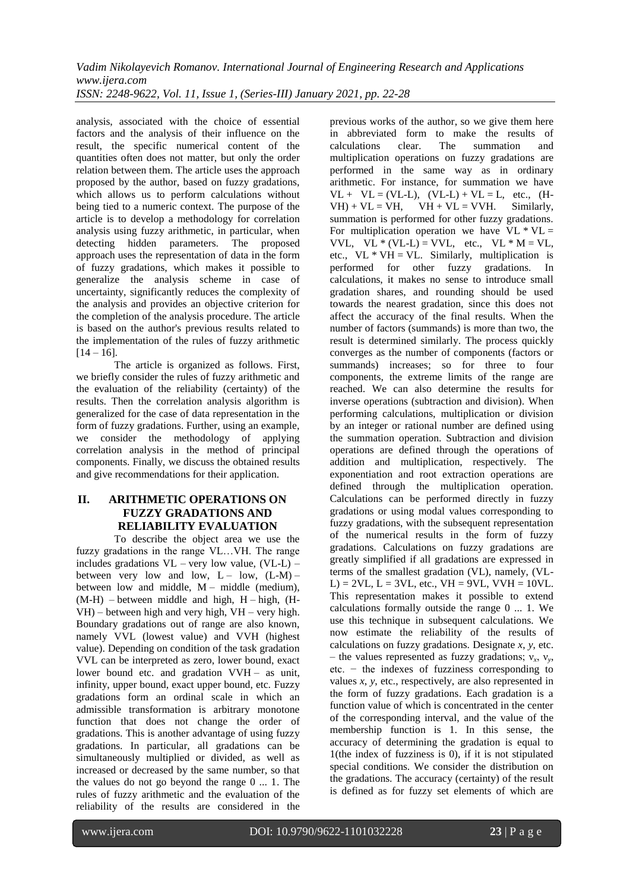*Vadim Nikolayevich Romanov. International Journal of Engineering Research and Applications www.ijera.com ISSN: 2248-9622, Vol. 11, Issue 1, (Series-III) January 2021, pp. 22-28*

analysis, associated with the choice of essential factors and the analysis of their influence on the result, the specific numerical content of the quantities often does not matter, but only the order relation between them. The article uses the approach proposed by the author, based on fuzzy gradations, which allows us to perform calculations without being tied to a numeric context. The purpose of the article is to develop a methodology for correlation analysis using fuzzy arithmetic, in particular, when detecting hidden parameters. The proposed approach uses the representation of data in the form of fuzzy gradations, which makes it possible to generalize the analysis scheme in case of uncertainty, significantly reduces the complexity of the analysis and provides an objective criterion for the completion of the analysis procedure. The article is based on the author's previous results related to the implementation of the rules of fuzzy arithmetic  $[14 - 16]$ .

The article is organized as follows. First, we briefly consider the rules of fuzzy arithmetic and the evaluation of the reliability (certainty) of the results. Then the correlation analysis algorithm is generalized for the case of data representation in the form of fuzzy gradations. Further, using an example, we consider the methodology of applying correlation analysis in the method of principal components. Finally, we discuss the obtained results and give recommendations for their application.

# **II. ARITHMETIC OPERATIONS ON FUZZY GRADATIONS AND RELIABILITY EVALUATION**

To describe the object area we use the fuzzy gradations in the range VL…VH. The range includes gradations  $VL$  – very low value,  $(VL-L)$  – between very low and low,  $L - \text{low}$ ,  $(L-M)$ between low and middle,  $M -$  middle (medium),  $(M-H)$  – between middle and high,  $H$  – high,  $(H-H)$ VH) – between high and very high, VH – very high. Boundary gradations out of range are also known, namely VVL (lowest value) and VVH (highest value). Depending on condition of the task gradation VVL can be interpreted as zero, lower bound, exact lower bound etc. and gradation  $VVH -$  as unit, infinity, upper bound, exact upper bound, etc. Fuzzy gradations form an ordinal scale in which an admissible transformation is arbitrary monotone function that does not change the order of gradations. This is another advantage of using fuzzy gradations. In particular, all gradations can be simultaneously multiplied or divided, as well as increased or decreased by the same number, so that the values do not go beyond the range  $0 \ldots 1$ . The rules of fuzzy arithmetic and the evaluation of the reliability of the results are considered in the previous works of the author, so we give them here in abbreviated form to make the results of calculations clear. The summation and multiplication operations on fuzzy gradations are performed in the same way as in ordinary arithmetic. For instance, for summation we have  $VL + VL = (VL-L)$ ,  $(VL-L) + VL = L$ , etc.,  $(H-L)$  $VH$  + VL = VH, VH + VL = VVH. Similarly, summation is performed for other fuzzy gradations. For multiplication operation we have  $VL * VL =$ VVL,  $V\overline{L}$  \* (VL-L) = VVL, etc., VL \* M = VL, etc.,  $VL * VH = VL$ . Similarly, multiplication is performed for other fuzzy gradations. In calculations, it makes no sense to introduce small gradation shares, and rounding should be used towards the nearest gradation, since this does not affect the accuracy of the final results. When the number of factors (summands) is more than two, the result is determined similarly. The process quickly converges as the number of components (factors or summands) increases; so for three to four components, the extreme limits of the range are reached. We can also determine the results for inverse operations (subtraction and division). When performing calculations, multiplication or division by an integer or rational number are defined using the summation operation. Subtraction and division operations are defined through the operations of addition and multiplication, respectively. The exponentiation and root extraction operations are defined through the multiplication operation. Calculations can be performed directly in fuzzy gradations or using modal values corresponding to fuzzy gradations, with the subsequent representation of the numerical results in the form of fuzzy gradations. Calculations on fuzzy gradations are greatly simplified if all gradations are expressed in terms of the smallest gradation (VL), namely, (VL- $L$  = 2VL,  $L$  = 3VL, etc.,  $VH$  = 9VL,  $VVH$  = 10VL. This representation makes it possible to extend calculations formally outside the range 0 ... 1. We use this technique in subsequent calculations. We now estimate the reliability of the results of calculations on fuzzy gradations. Designate *x*, *y*, etc.  $-$  the values represented as fuzzy gradations;  $v_x$ ,  $v_y$ , etc. − the indexes of fuzziness corresponding to values *x*, *y*, etc., respectively, are also represented in the form of fuzzy gradations. Each gradation is a function value of which is concentrated in the center of the corresponding interval, and the value of the membership function is 1. In this sense, the accuracy of determining the gradation is equal to 1(the index of fuzziness is 0), if it is not stipulated special conditions. We consider the distribution on the gradations. The accuracy (certainty) of the result is defined as for fuzzy set elements of which are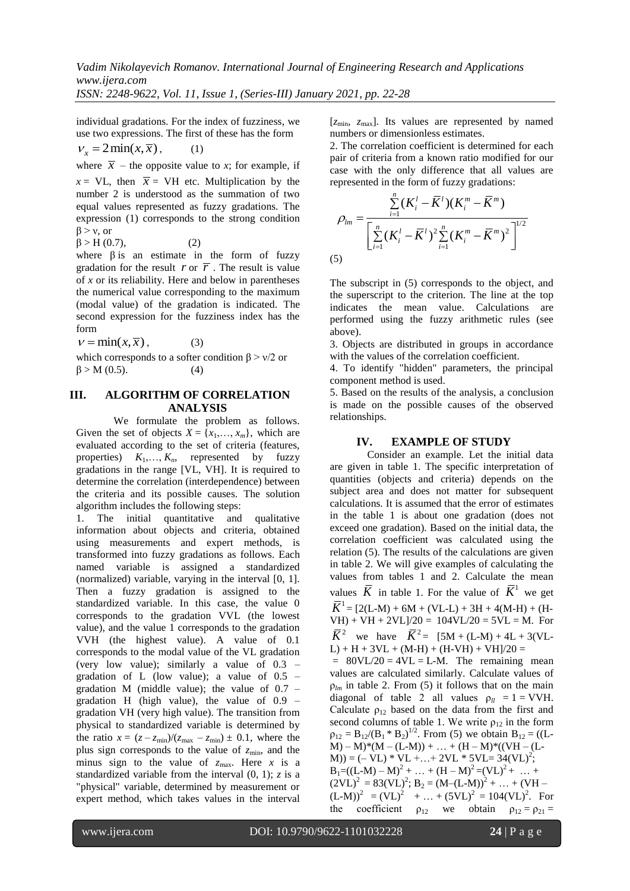*ISSN: 2248-9622, Vol. 11, Issue 1, (Series-III) January 2021, pp. 22-28*

individual gradations. For the index of fuzziness, we use two expressions. The first of these has the form

$$
v_x = 2\min(x,\overline{x}), \qquad (1)
$$

where  $\bar{x}$  – the opposite value to *x*; for example, if  $x = \text{VL}$ , then  $\bar{x} = \text{VH}$  etc. Multiplication by the number 2 is understood as the summation of two equal values represented as fuzzy gradations. The expression (1) corresponds to the strong condition  $\beta$  > v, or

 $\beta > H(0.7)$ , (2)

where  $\beta$  is an estimate in the form of fuzzy gradation for the result  $r$  or  $\overline{r}$ . The result is value of *x* or its reliability. Here and below in parentheses the numerical value corresponding to the maximum (modal value) of the gradation is indicated. The second expression for the fuzziness index has the form

 $v = min(x, \overline{x})$ , (3)

which corresponds to a softer condition  $\beta$  >  $v/2$  or  $\beta$  > M (0.5). (4)

## **III. ALGORITHM OF CORRELATION ANALYSIS**

We formulate the problem as follows. Given the set of objects  $X = \{x_1, \ldots, x_m\}$ , which are evaluated according to the set of criteria (features, properties)  $K_1, \ldots, K_n$ , represented by fuzzy gradations in the range [VL, VH]. It is required to determine the correlation (interdependence) between the criteria and its possible causes. The solution algorithm includes the following steps:

1. The initial quantitative and qualitative information about objects and criteria, obtained using measurements and expert methods, is transformed into fuzzy gradations as follows. Each named variable is assigned a standardized (normalized) variable, varying in the interval [0, 1]. Then a fuzzy gradation is assigned to the standardized variable. In this case, the value 0 corresponds to the gradation VVL (the lowest value), and the value 1 corresponds to the gradation VVH (the highest value). A value of 0.1 corresponds to the modal value of the VL gradation (very low value); similarly a value of 0.3 – gradation of L (low value); a value of  $0.5$  – gradation M (middle value); the value of  $0.7$  – gradation H (high value), the value of 0.9 – gradation VH (very high value). The transition from physical to standardized variable is determined by the ratio  $x = (z - z_{min})/(z_{max} - z_{min}) \pm 0.1$ , where the plus sign corresponds to the value of  $z_{\text{min}}$ , and the minus sign to the value of  $z_{\text{max}}$ . Here *x* is a standardized variable from the interval  $(0, 1)$ ; *z* is a "physical" variable, determined by measurement or expert method, which takes values in the interval [*z*min, *z*max]. Its values are represented by named numbers or dimensionless estimates.

2. The correlation coefficient is determined for each pair of criteria from a known ratio modified for our case with the only difference that all values are

represented in the form of fuzzy gradations:  
\n
$$
\rho_{lm} = \frac{\sum_{i=1}^{n} (K_i^l - \overline{K}^l)(K_i^m - \overline{K}^m)}{\left[\sum_{i=1}^{n} (K_i^l - \overline{K}^l)^2 \sum_{i=1}^{n} (K_i^m - \overline{K}^m)^2\right]^{1/2}}
$$
\n(5)

The subscript in (5) corresponds to the object, and the superscript to the criterion. The line at the top indicates the mean value. Calculations are performed using the fuzzy arithmetic rules (see above).

3. Objects are distributed in groups in accordance with the values of the correlation coefficient.

4. To identify "hidden" parameters, the principal component method is used.

5. Based on the results of the analysis, a conclusion is made on the possible causes of the observed relationships.

# **IV. EXAMPLE OF STUDY**

Consider an example. Let the initial data are given in table 1. The specific interpretation of quantities (objects and criteria) depends on the subject area and does not matter for subsequent calculations. It is assumed that the error of estimates in the table 1 is about one gradation (does not exceed one gradation). Based on the initial data, the correlation coefficient was calculated using the relation (5). The results of the calculations are given in table 2. We will give examples of calculating the values from tables 1 and 2. Calculate the mean values  $\overline{K}$  in table 1. For the value of  $\overline{K}$ <sup>1</sup> we get  $\overline{K}^1 = [2(L-M) + 6M + (VL-L) + 3H + 4(M-H) + (H-L)$ VH) + VH + 2VL]/20 =  $104$ VL/20 =  $5$ VL = M. For  $\overline{K}^2$  we have  $\overline{K}^2 = [5M + (L-M) + 4L + 3(VL L$ ) + H + 3VL + (M-H) + (H-VH) + VH]/20 =  $= 80$ VL/20 = 4VL = L-M. The remaining mean values are calculated similarly. Calculate values of  $\rho_{lm}$  in table 2. From (5) it follows that on the main diagonal of table 2 all values  $\rho_{ll} = 1 = VVH$ . Calculate  $\rho_{12}$  based on the data from the first and second columns of table 1. We write  $\rho_{12}$  in the form  $\rho_{12} = B_{12}/(B_1 * B_2)^{1/2}$ . From (5) we obtain  $B_{12} = ((L (M) - M$ <sup>\*</sup>( $M - (L-M)$ ) + ... + (H – M)<sup>\*</sup>((VH – (L- $M$ )) = (- VL) \* VL +...+ 2VL \* 5VL= 34(VL)<sup>2</sup>;  $B_1 = ((L-M) - M)^2 + ... + (H-M)^2 = (VL)^2 + ... +$  $(2VL)^2 = 83(VL)^2$ ; B<sub>2</sub> =  $(M-(L-M))$ <sup>2</sup> + ... + (VH –  $(L-M))^2 = (VL)^2 + ... + (5VL)^2 = 104(VL)^2$ . For the coefficient  $\rho_{12}$  we obtain  $\rho_{12} = \rho_{21} =$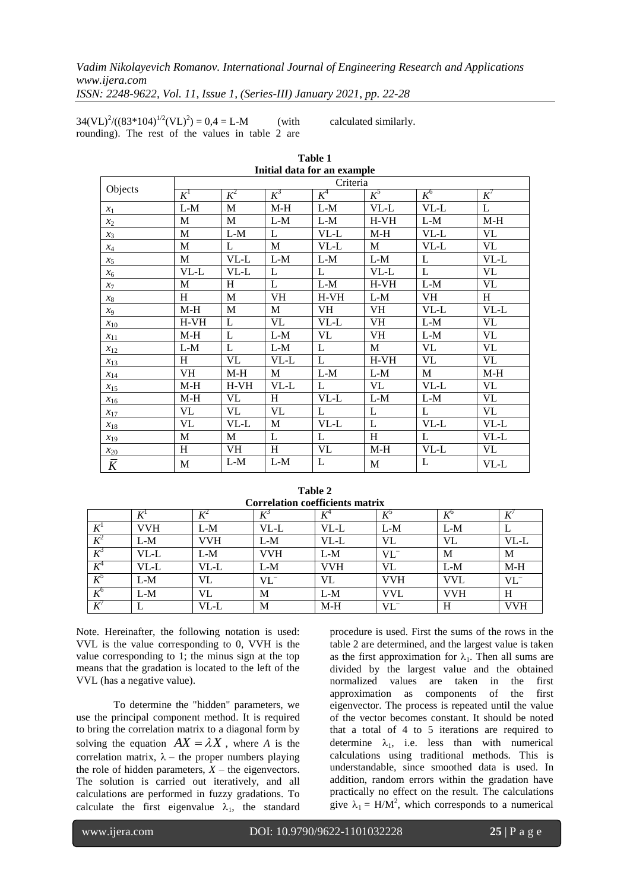*Vadim Nikolayevich Romanov. International Journal of Engineering Research and Applications www.ijera.com*

**Table 1**

*ISSN: 2248-9622, Vol. 11, Issue 1, (Series-III) January 2021, pp. 22-28*

 $34(VL)^{2}/((83*104)^{1/2}(VL)^{2}) = 0,4 = L-M$  (with rounding). The rest of the values in table 2 are

calculated similarly.

|                |             |              |           | Initial data for an example |         |           |              |  |  |
|----------------|-------------|--------------|-----------|-----------------------------|---------|-----------|--------------|--|--|
|                | Criteria    |              |           |                             |         |           |              |  |  |
| Objects        | $K^1$       | $K^2$        | $K^3$     | $K^4$                       | $K^5$   | $K^6$     | $K^7$        |  |  |
| $x_1$          | $L-M$       | $\mathbf M$  | $M-H$     | $L-M$                       | VL-L    | VL-L      | $\mathbf{L}$ |  |  |
| $x_2$          | M           | M            | $L-M$     | $L-M$                       | $H- VH$ | $L-M$     | $M-H$        |  |  |
| $x_3$          | M           | $L-M$        | L         | $VL-L$                      | $M-H$   | VL-L      | VL           |  |  |
| $x_4$          | M           | L            | M         | $VL-L$                      | M       | $VL-L$    | VL           |  |  |
| $x_5$          | $\mathbf M$ | $VL-L$       | $L-M$     | $L-M$                       | $L-M$   | L         | VL-L         |  |  |
| $x_6$          | $VL-L$      | VL-L         | L         | L                           | $VL-L$  | L         | VL           |  |  |
| $x_7$          | M           | H            | L         | $L-M$                       | $H- VH$ | $L-M$     | <b>VL</b>    |  |  |
| $x_8$          | H           | M            | <b>VH</b> | $H- VH$                     | $L-M$   | <b>VH</b> | H            |  |  |
| $x_9$          | $M-H$       | M            | M         | VH                          | VH      | $VL-L$    | VL-L         |  |  |
| $x_{10}$       | $H-VH$      | L            | VL        | VL-L                        | VH      | $L-M$     | VL           |  |  |
| $x_{11}$       | $M-H$       | $\mathbf{L}$ | $L-M$     | VL                          | VH      | $L-M$     | VL           |  |  |
| $x_{12}$       | $L-M$       | L            | $L-M$     | L                           | M       | VL        | <b>VL</b>    |  |  |
| $x_{13}$       | H           | VL           | VL-L      | L                           | $H-VH$  | VL        | VL           |  |  |
| $x_{14}$       | VH          | $M-H$        | M         | $L-M$                       | $L-M$   | M         | $M-H$        |  |  |
| $x_{15}$       | $M-H$       | $H-VH$       | $VL-L$    | L                           | VL      | $VL-L$    | <b>VL</b>    |  |  |
| $x_{16}$       | $M-H$       | VL           | H         | $VL-L$                      | $L-M$   | $L-M$     | VL           |  |  |
| $x_{17}$       | VL          | <b>VL</b>    | <b>VL</b> | L                           | L       | L         | VL           |  |  |
| $x_{18}$       | VL          | VL-L         | M         | $VL-L$                      | L       | $VL-L$    | $VL-L$       |  |  |
| $x_{19}$       | M           | M            | L         | L                           | H       | L         | $VL-L$       |  |  |
| $x_{20}$       | H           | VH           | H         | VL                          | $M-H$   | $VL-L$    | VL           |  |  |
| $\overline{K}$ | $\mathbf M$ | $L-M$        | $L-M$     | L                           | M       | L         | VL-L         |  |  |

| Table 2                         |  |  |  |  |  |
|---------------------------------|--|--|--|--|--|
| Correlation coefficients matrix |  |  |  |  |  |

| <b>Correlation coefficients matrix</b> |              |      |                 |       |       |     |       |  |  |
|----------------------------------------|--------------|------|-----------------|-------|-------|-----|-------|--|--|
|                                        | $\mathbf{r}$ |      |                 |       |       |     |       |  |  |
| $K^{\mathsf{I}}$                       | VVH          | L-M  | VL-L            | VL-L  | $L-M$ | L-M |       |  |  |
| $K^2$                                  | $L-M$        | VVH  | L-M             | VL-L  | VL    | VL  | VL-L  |  |  |
| $K^3$                                  | VL-L         | L-M  | VVH             | L-M   | VL    | М   | M     |  |  |
| Λ                                      | VL-L         | VL-L | $L-M$           | VVH   | VL    | L-M | $M-H$ |  |  |
| $K^{\circ}$                            | $L-M$        |      | VL <sup>-</sup> | VL    | VVH   | VVL | VL    |  |  |
| $K^6$                                  | $L-M$        |      | M               | $L-M$ | VVL   | VVH | H     |  |  |
| $\boldsymbol{V}$<br>л                  |              | VL-L | M               | $M-H$ |       | H   | VVH   |  |  |

Note. Hereinafter, the following notation is used: VVL is the value corresponding to 0, VVH is the value corresponding to 1; the minus sign at the top means that the gradation is located to the left of the VVL (has a negative value).

To determine the "hidden" parameters, we use the principal component method. It is required to bring the correlation matrix to a diagonal form by solving the equation  $AX = \lambda X$ , where *A* is the correlation matrix,  $\lambda$  – the proper numbers playing the role of hidden parameters,  $\overline{X}$  – the eigenvectors. The solution is carried out iteratively, and all calculations are performed in fuzzy gradations. To calculate the first eigenvalue  $\lambda_1$ , the standard

procedure is used. First the sums of the rows in the table 2 are determined, and the largest value is taken as the first approximation for  $\lambda_1$ . Then all sums are divided by the largest value and the obtained normalized values are taken in the first approximation as components of the first eigenvector. The process is repeated until the value of the vector becomes constant. It should be noted that a total of 4 to 5 iterations are required to determine  $\lambda_1$ , i.e. less than with numerical calculations using traditional methods. This is understandable, since smoothed data is used. In addition, random errors within the gradation have practically no effect on the result. The calculations give  $\lambda_1 = H/M^2$ , which corresponds to a numerical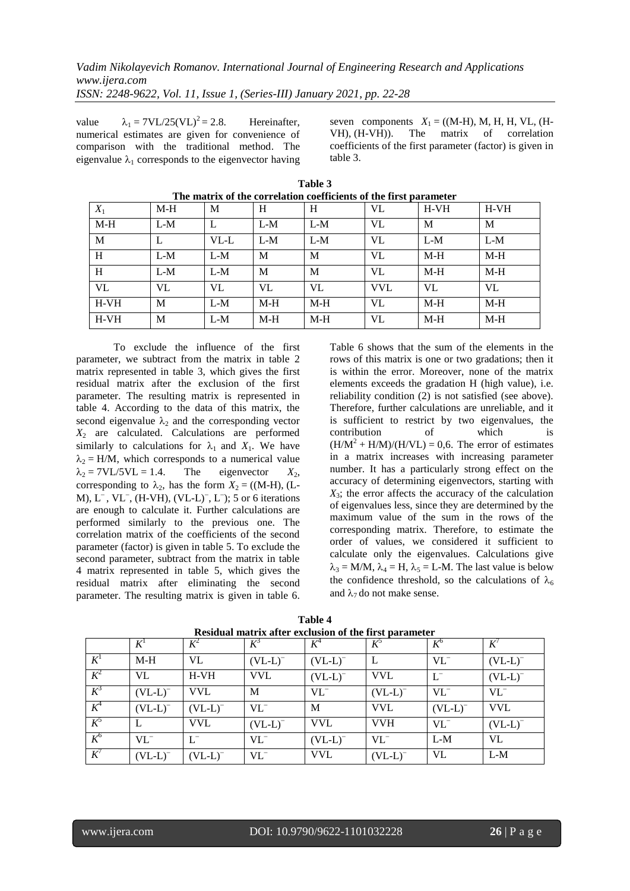value  $\lambda_1 = 7VL/25(VL)^2 = 2.8$ . Hereinafter. numerical estimates are given for convenience of comparison with the traditional method. The eigenvalue  $\lambda_1$  corresponds to the eigenvector having

seven components  $X_1 = ((M-H), M, H, H, VL, (H-VH), (H-VH)).$  The matrix of correlation VH),  $(H-VH)$ ). The matrix of coefficients of the first parameter (factor) is given in table 3.

| The matrix of the correlation coefficients of the first parameter |       |        |       |       |            |        |         |  |  |
|-------------------------------------------------------------------|-------|--------|-------|-------|------------|--------|---------|--|--|
| $X_1$                                                             | $M-H$ | M      | H     | H     | VL         | $H-VH$ | $H- VH$ |  |  |
| $M-H$                                                             | $L-M$ | L      | $L-M$ | $L-M$ | VL         | M      | M       |  |  |
| M                                                                 |       | $VL-L$ | $L-M$ | $L-M$ | VL         | $L-M$  | $L-M$   |  |  |
| H                                                                 | $L-M$ | $L-M$  | M     | M     | VL         | $M-H$  | $M-H$   |  |  |
| H                                                                 | $L-M$ | $L-M$  | M     | M     | VL         | $M-H$  | $M-H$   |  |  |
| VL                                                                | VL    | VL     | VL    | VL    | <b>VVL</b> | VL     | VL      |  |  |
| $H- VH$                                                           | M     | $L-M$  | $M-H$ | $M-H$ | VL         | $M-H$  | M-H     |  |  |
| $H-VH$                                                            | M     | $L-M$  | $M-H$ | $M-H$ | VL         | $M-H$  | $M-H$   |  |  |

**Table 3**

To exclude the influence of the first parameter, we subtract from the matrix in table 2 matrix represented in table 3, which gives the first residual matrix after the exclusion of the first parameter. The resulting matrix is represented in table 4. According to the data of this matrix, the second eigenvalue  $\lambda_2$  and the corresponding vector  $X_2$  are calculated. Calculations are performed similarly to calculations for  $\lambda_1$  and  $X_1$ . We have  $\lambda_2 = H/M$ , which corresponds to a numerical value  $\lambda_2 = 7$ VL/5VL = 1.4. The eigenvector  $X_2$ , corresponding to  $\lambda_2$ , has the form  $X_2 = ((M-H), (L-H))$  $M$ ),  $L^-$ ,  $VL^-$ , (H-VH),  $(VL-L)^-$ ,  $L^-$ ); 5 or 6 iterations are enough to calculate it. Further calculations are performed similarly to the previous one. The correlation matrix of the coefficients of the second parameter (factor) is given in table 5. To exclude the second parameter, subtract from the matrix in table 4 matrix represented in table 5, which gives the residual matrix after eliminating the second parameter. The resulting matrix is given in table 6.

Table 6 shows that the sum of the elements in the rows of this matrix is one or two gradations; then it is within the error. Moreover, none of the matrix elements exceeds the gradation H (high value), i.e. reliability condition (2) is not satisfied (see above). Therefore, further calculations are unreliable, and it is sufficient to restrict by two eigenvalues, the contribution of which is  $(H/M^2 + H/M)/(H/VL) = 0.6$ . The error of estimates in a matrix increases with increasing parameter number. It has a particularly strong effect on the accuracy of determining eigenvectors, starting with  $X_3$ ; the error affects the accuracy of the calculation of eigenvalues less, since they are determined by the maximum value of the sum in the rows of the corresponding matrix. Therefore, to estimate the order of values, we considered it sufficient to calculate only the eigenvalues. Calculations give  $\lambda_3 = M/M$ ,  $\lambda_4 = H$ ,  $\lambda_5 = L$ -M. The last value is below the confidence threshold, so the calculations of  $\lambda_6$ and  $\lambda_7$  do not make sense.

|       | $K^1$        | $K^2$        | $K^3$        | $K^4$        | $K^{\circ}$  | $K^6$    | K'           |
|-------|--------------|--------------|--------------|--------------|--------------|----------|--------------|
| $K^1$ | $M-H$        | VL           | $(VL-L)^{-}$ | $(VL-L)^{-}$ |              | $VL^{-}$ | $(VL-L)^{-}$ |
| $K^2$ | VL.          | $H-VH$       | <b>VVL</b>   | $(VL-L)^{-}$ | <b>VVL</b>   | $L^-$    | $(VL-L)^{-}$ |
| $K^3$ | $(VL-L)^{-}$ | <b>VVL</b>   | M            | $VL^{-}$     | $(VL-L)^{-}$ | $VL^-$   | $VL^-$       |
| $K^4$ | $(VL-L)^{-}$ | $(VL-L)^{-}$ | $VL^{-}$     | M            | <b>VVL</b>   | $(VL-L)$ | <b>VVL</b>   |
| $K^5$ | L            | <b>VVL</b>   | $(VL-L)^{-}$ | <b>VVL</b>   | <b>VVH</b>   | $VL^{-}$ | $(VL-L)^{-}$ |
| $K^6$ | $VL^{-}$     |              | $VL^-$       | $(VL-L)^{-}$ | $VL^{-}$     | $L-M$    | <b>VL</b>    |
| $K^7$ | $(VL-L)^{-}$ | $(VL-L)^{-}$ | $VL^{-}$     | <b>VVL</b>   | $(VL-L)^{-}$ | VL       | $L-M$        |

| Table 4                                                |
|--------------------------------------------------------|
| Residual matrix after exclusion of the first parameter |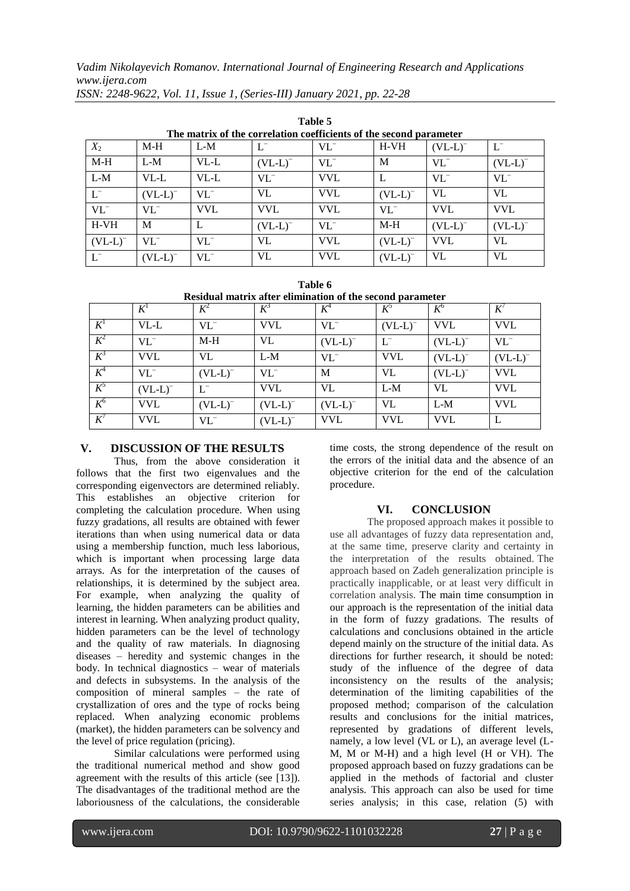*Vadim Nikolayevich Romanov. International Journal of Engineering Research and Applications www.ijera.com*

| Tanic s                                                            |              |            |              |            |              |              |              |  |  |
|--------------------------------------------------------------------|--------------|------------|--------------|------------|--------------|--------------|--------------|--|--|
| The matrix of the correlation coefficients of the second parameter |              |            |              |            |              |              |              |  |  |
| $X_2$                                                              | $M-H$        | $L-M$      |              | $VL^-$     | $H-VH$       | $(VL-L)^{-}$ | U            |  |  |
| $M-H$                                                              | $L-M$        | $VL-L$     | $(VL-L)^{-}$ | $VL^-$     | M            | $VL^-$       | $(VL-L)^{-}$ |  |  |
| $L-M$                                                              | $VL-L$       | VL-L       | $VL^{-}$     | <b>VVL</b> |              | $VL^-$       | $VL^{-}$     |  |  |
| $L^-$                                                              | $(VL-L)^{-}$ | $VL^{-}$   | VL           | <b>VVL</b> | $(VL-L)$     | VL           | VL           |  |  |
| $VL^-$                                                             | $VL^{-}$     | <b>VVL</b> | <b>VVL</b>   | <b>VVL</b> | $VL^{-}$     | <b>VVL</b>   | <b>VVL</b>   |  |  |
| $H-VH$                                                             | M            |            | $(VL-L)^{-}$ | $VL^{-}$   | $M-H$        | $(VL-L)$     | $(VL-L)$     |  |  |
| $(VL-L)$                                                           | $VL^-$       | $VL^-$     | VL           | <b>VVL</b> | $(VL-L)^{-}$ | <b>VVL</b>   | VL           |  |  |
|                                                                    | (VL-L)       | $VL^{-}$   | VL           | <b>VVL</b> | (VL-L)       | VL           | VL           |  |  |

**Table 5**

*ISSN: 2248-9622, Vol. 11, Issue 1, (Series-III) January 2021, pp. 22-28*

|  | Table 6                                                   |  |  |
|--|-----------------------------------------------------------|--|--|
|  | Residual matrix after elimination of the second parameter |  |  |

|                  | $K^1$        | $K^2$        | $K^3$        | $K^4$        | $K^{\circ}$  | $K^{\circ}$  | K'           |
|------------------|--------------|--------------|--------------|--------------|--------------|--------------|--------------|
| $K^{\mathsf{I}}$ | $VL-L$       | $VL^-$       | <b>VVL</b>   | $VL^{-}$     | $(VL-L)^{-}$ | <b>VVL</b>   | <b>VVL</b>   |
| $K^2$            | $VL^{-}$     | $M-H$        | VL           | $(VL-L)$     | U            | $(VL-L)$     | $VL^{-}$     |
| $K^3$            | <b>VVL</b>   | VL           | $L-M$        | $VL^-$       | <b>VVL</b>   | $(VL-L)^{-}$ | $(VL-L)^{-}$ |
| $K^4$            | $VL^-$       | $(VL-L)^{-}$ | $VL^{-}$     | M            | VL           | $(VL-L)^{-}$ | <b>VVL</b>   |
| $K^5$            | $(VL-L)^{-}$ | $L^-$        | <b>VVL</b>   | VL           | $L-M$        | VL           | <b>VVL</b>   |
| $K^6$            | <b>VVL</b>   | $(VL-L)^{-}$ | $(VL-L)^{-}$ | $(VL-L)^{-}$ | VL           | $L-M$        | <b>VVL</b>   |
| $K^7$            | <b>VVL</b>   | $VL^-$       | $(VL-L)^{-}$ | <b>VVL</b>   | <b>VVL</b>   | <b>VVL</b>   | L            |

# **V. DISCUSSION OF THE RESULTS**

Thus, from the above consideration it follows that the first two eigenvalues and the corresponding eigenvectors are determined reliably. This establishes an objective criterion for completing the calculation procedure. When using fuzzy gradations, all results are obtained with fewer iterations than when using numerical data or data using a membership function, much less laborious, which is important when processing large data arrays. As for the interpretation of the causes of relationships, it is determined by the subject area. For example, when analyzing the quality of learning, the hidden parameters can be abilities and interest in learning. When analyzing product quality, hidden parameters can be the level of technology and the quality of raw materials. In diagnosing diseases – heredity and systemic changes in the body. In technical diagnostics – wear of materials and defects in subsystems. In the analysis of the composition of mineral samples – the rate of crystallization of ores and the type of rocks being replaced. When analyzing economic problems (market), the hidden parameters can be solvency and the level of price regulation (pricing).

Similar calculations were performed using the traditional numerical method and show good agreement with the results of this article (see [13]). The disadvantages of the traditional method are the laboriousness of the calculations, the considerable time costs, the strong dependence of the result on the errors of the initial data and the absence of an objective criterion for the end of the calculation procedure.

# **VI. CONCLUSION**

The proposed approach makes it possible to use all advantages of fuzzy data representation and, at the same time, preserve clarity and certainty in the interpretation of the results obtained. The approach based on Zadeh generalization principle is practically inapplicable, or at least very difficult in correlation analysis. The main time consumption in our approach is the representation of the initial data in the form of fuzzy gradations. The results of calculations and conclusions obtained in the article depend mainly on the structure of the initial data. As directions for further research, it should be noted: study of the influence of the degree of data inconsistency on the results of the analysis; determination of the limiting capabilities of the proposed method; comparison of the calculation results and conclusions for the initial matrices, represented by gradations of different levels, namely, a low level (VL or L), an average level (L-M, M or M-H) and a high level (H or VH). The proposed approach based on fuzzy gradations can be applied in the methods of factorial and cluster analysis. This approach can also be used for time series analysis; in this case, relation (5) with